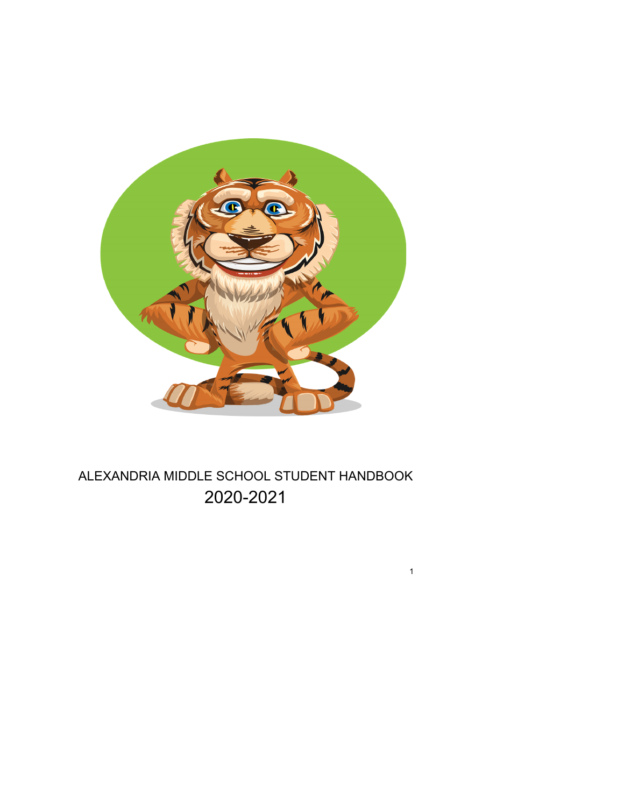

# ALEXANDRIA MIDDLE SCHOOL STUDENT HANDBOOK 20-2021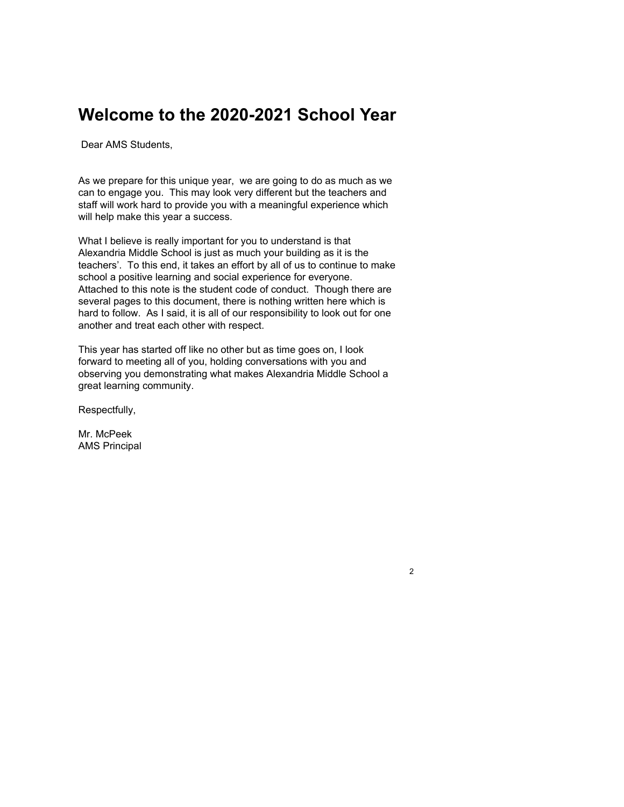# **Welcome to the 2020-2021 School Year**

Dear AMS Students,

As we prepare for this unique year, we are going to do as much as we can to engage you. This may look very different but the teachers and staff will work hard to provide you with a meaningful experience which will help make this year a success.

What I believe is really important for you to understand is that Alexandria Middle School is just as much your building as it is the teachers'. To this end, it takes an effort by all of us to continue to make school a positive learning and social experience for everyone. Attached to this note is the student code of conduct. Though there are several pages to this document, there is nothing written here which is hard to follow. As I said, it is all of our responsibility to look out for one another and treat each other with respect.

This year has started off like no other but as time goes on, I look forward to meeting all of you, holding conversations with you and observing you demonstrating what makes Alexandria Middle School a great learning community.

2

Respectfully,

Mr. McPeek AMS Principal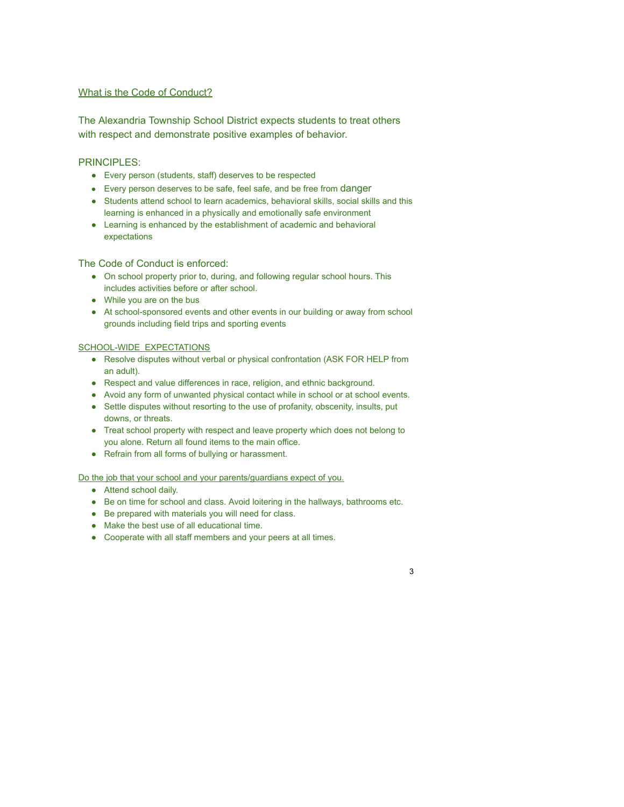## What is the Code of Conduct?

The Alexandria Township School District expects students to treat others with respect and demonstrate positive examples of behavior.

# PRINCIPLES:

- Every person (students, staff) deserves to be respected
- Every person deserves to be safe, feel safe, and be free from danger
- Students attend school to learn academics, behavioral skills, social skills and this learning is enhanced in a physically and emotionally safe environment
- Learning is enhanced by the establishment of academic and behavioral expectations

# The Code of Conduct is enforced:

- On school property prior to, during, and following regular school hours. This includes activities before or after school.
- While you are on the bus
- At school-sponsored events and other events in our building or away from school grounds including field trips and sporting events

## SCHOOL-WIDE EXPECTATIONS

- Resolve disputes without verbal or physical confrontation (ASK FOR HELP from an adult).
- Respect and value differences in race, religion, and ethnic background.
- Avoid any form of unwanted physical contact while in school or at school events.
- Settle disputes without resorting to the use of profanity, obscenity, insults, put downs, or threats.
- Treat school property with respect and leave property which does not belong to you alone. Return all found items to the main office.
- Refrain from all forms of bullying or harassment.

## Do the job that your school and your parents/guardians expect of you.

- Attend school daily.
- Be on time for school and class. Avoid loitering in the hallways, bathrooms etc.

- Be prepared with materials you will need for class.
- Make the best use of all educational time.
- Cooperate with all staff members and your peers at all times.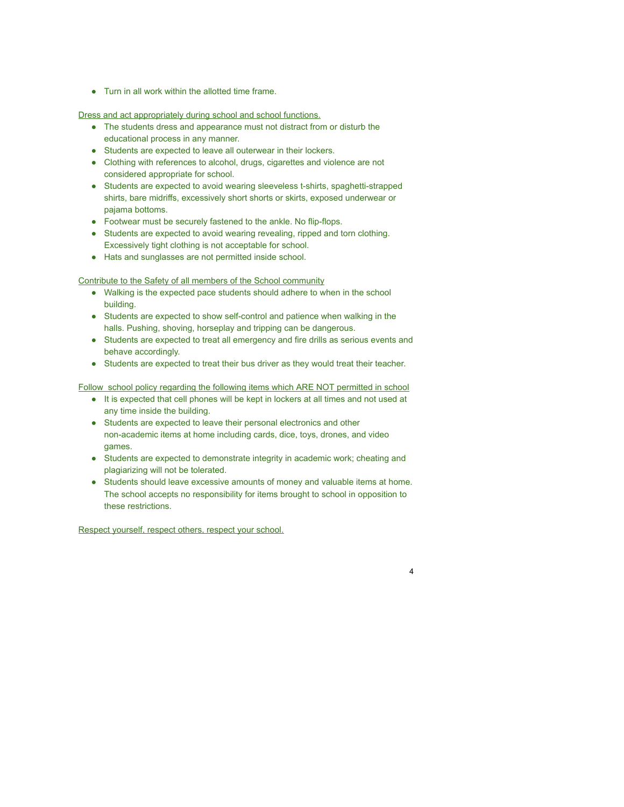● Turn in all work within the allotted time frame.

Dress and act appropriately during school and school functions.

- The students dress and appearance must not distract from or disturb the educational process in any manner.
- Students are expected to leave all outerwear in their lockers.
- Clothing with references to alcohol, drugs, cigarettes and violence are not considered appropriate for school.
- Students are expected to avoid wearing sleeveless t-shirts, spaghetti-strapped shirts, bare midriffs, excessively short shorts or skirts, exposed underwear or pajama bottoms.
- Footwear must be securely fastened to the ankle. No flip-flops.
- Students are expected to avoid wearing revealing, ripped and torn clothing. Excessively tight clothing is not acceptable for school.
- Hats and sunglasses are not permitted inside school.

Contribute to the Safety of all members of the School community

- Walking is the expected pace students should adhere to when in the school building.
- Students are expected to show self-control and patience when walking in the halls. Pushing, shoving, horseplay and tripping can be dangerous.
- Students are expected to treat all emergency and fire drills as serious events and behave accordingly.
- Students are expected to treat their bus driver as they would treat their teacher.

Follow school policy regarding the following items which ARE NOT permitted in school

- It is expected that cell phones will be kept in lockers at all times and not used at any time inside the building.
- Students are expected to leave their personal electronics and other non-academic items at home including cards, dice, toys, drones, and video games.
- Students are expected to demonstrate integrity in academic work; cheating and plagiarizing will not be tolerated.
- Students should leave excessive amounts of money and valuable items at home. The school accepts no responsibility for items brought to school in opposition to these restrictions.

4

Respect yourself, respect others, respect your school.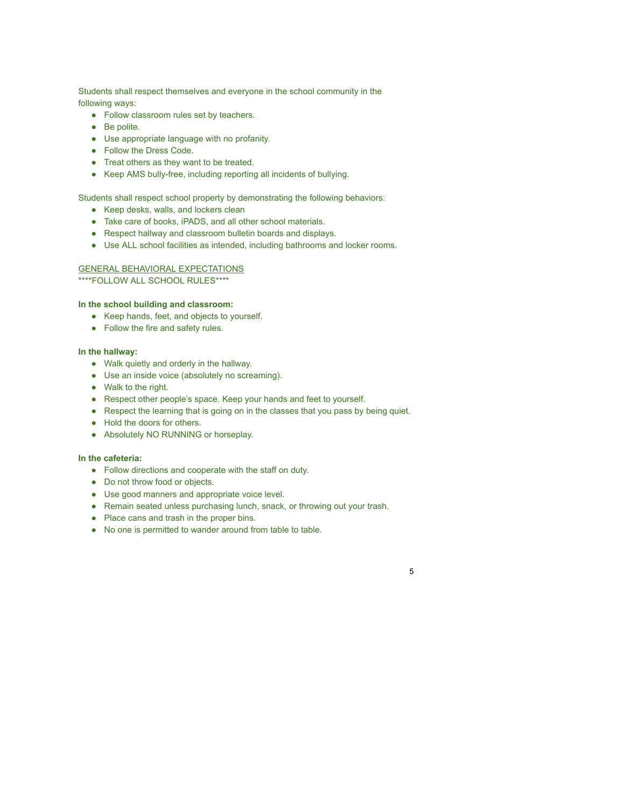Students shall respect themselves and everyone in the school community in the following ways:

- Follow classroom rules set by teachers.
- Be polite.
- Use appropriate language with no profanity.
- Follow the Dress Code.
- Treat others as they want to be treated.
- Keep AMS bully-free, including reporting all incidents of bullying.

Students shall respect school property by demonstrating the following behaviors:

- Keep desks, walls, and lockers clean
- Take care of books, iPADS, and all other school materials.
- Respect hallway and classroom bulletin boards and displays.
- Use ALL school facilities as intended, including bathrooms and locker rooms.

## GENERAL BEHAVIORAL EXPECTATIONS

\*\*\*\*FOLLOW ALL SCHOOL RULES\*\*\*\*

#### **In the school building and classroom:**

- Keep hands, feet, and objects to yourself.
- Follow the fire and safety rules.

#### **In the hallway:**

- Walk quietly and orderly in the hallway.
- Use an inside voice (absolutely no screaming).
- Walk to the right.
- Respect other people's space. Keep your hands and feet to yourself.
- Respect the learning that is going on in the classes that you pass by being quiet.
- Hold the doors for others.
- Absolutely NO RUNNING or horseplay.

#### **In the cafeteria:**

- Follow directions and cooperate with the staff on duty.
- Do not throw food or objects.
- Use good manners and appropriate voice level.
- Remain seated unless purchasing lunch, snack, or throwing out your trash.

- Place cans and trash in the proper bins.
- No one is permitted to wander around from table to table.